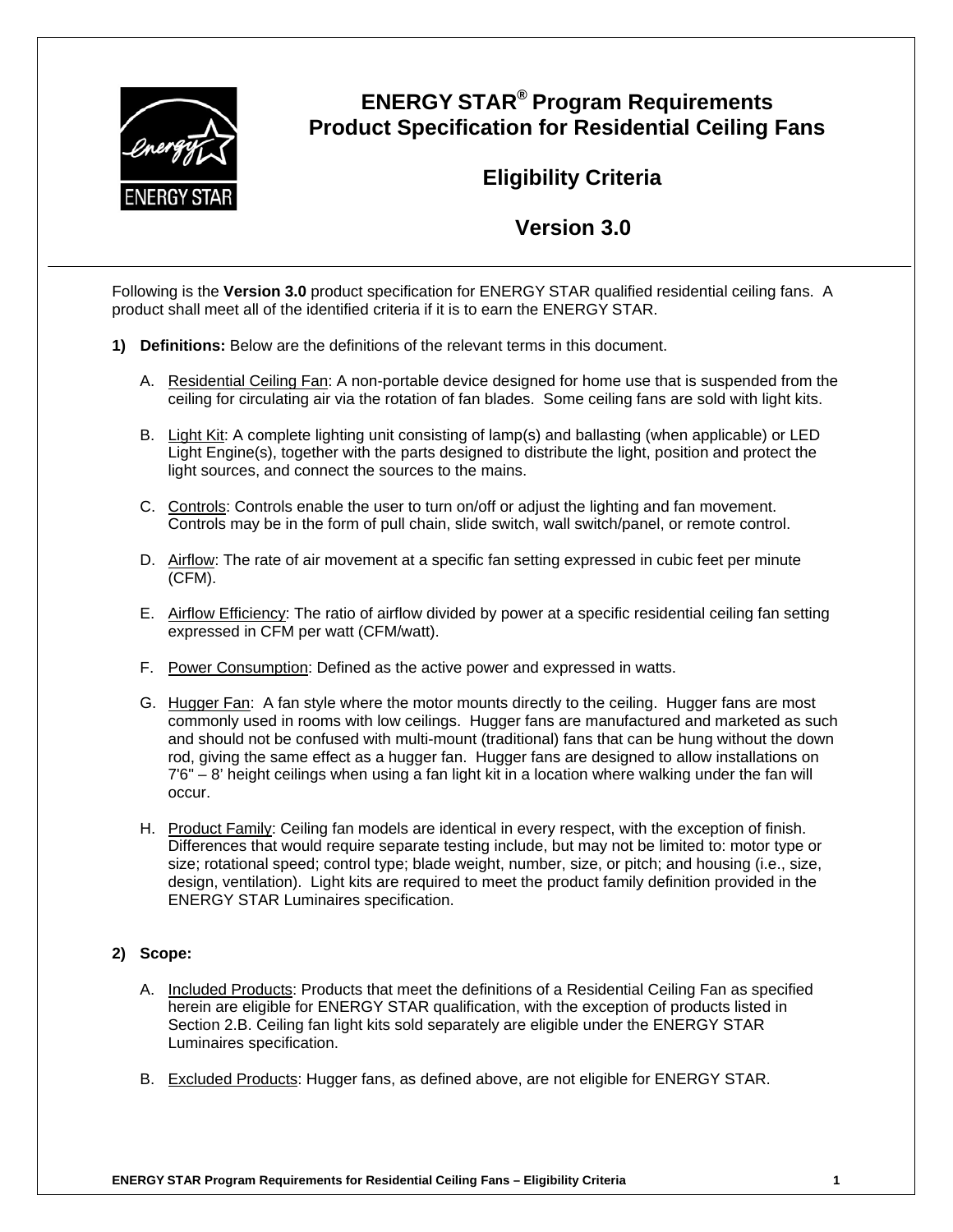

# **ENERGY STAR® Program Requirements Product Specification for Residential Ceiling Fans**

## **Eligibility Criteria**

### **Version 3.0**

Following is the **Version 3.0** product specification for ENERGY STAR qualified residential ceiling fans. A product shall meet all of the identified criteria if it is to earn the ENERGY STAR.

- **1) Definitions:** Below are the definitions of the relevant terms in this document.
	- A. Residential Ceiling Fan: A non-portable device designed for home use that is suspended from the ceiling for circulating air via the rotation of fan blades. Some ceiling fans are sold with light kits.
	- B. Light Kit: A complete lighting unit consisting of lamp(s) and ballasting (when applicable) or LED Light Engine(s), together with the parts designed to distribute the light, position and protect the light sources, and connect the sources to the mains.
	- C. Controls: Controls enable the user to turn on/off or adjust the lighting and fan movement. Controls may be in the form of pull chain, slide switch, wall switch/panel, or remote control.
	- D. Airflow: The rate of air movement at a specific fan setting expressed in cubic feet per minute (CFM).
	- E. Airflow Efficiency: The ratio of airflow divided by power at a specific residential ceiling fan setting expressed in CFM per watt (CFM/watt).
	- F. Power Consumption: Defined as the active power and expressed in watts.
	- G. Hugger Fan: A fan style where the motor mounts directly to the ceiling. Hugger fans are most commonly used in rooms with low ceilings. Hugger fans are manufactured and marketed as such and should not be confused with multi-mount (traditional) fans that can be hung without the down rod, giving the same effect as a hugger fan. Hugger fans are designed to allow installations on 7'6" – 8' height ceilings when using a fan light kit in a location where walking under the fan will occur.
	- H. Product Family: Ceiling fan models are identical in every respect, with the exception of finish. Differences that would require separate testing include, but may not be limited to: motor type or size; rotational speed; control type; blade weight, number, size, or pitch; and housing (i.e., size, design, ventilation). Light kits are required to meet the product family definition provided in the ENERGY STAR Luminaires specification.

### **2) Scope:**

- A. Included Products: Products that meet the definitions of a Residential Ceiling Fan as specified herein are eligible for ENERGY STAR qualification, with the exception of products listed in Section 2.B. Ceiling fan light kits sold separately are eligible under the ENERGY STAR Luminaires specification.
- B. Excluded Products: Hugger fans, as defined above, are not eligible for ENERGY STAR.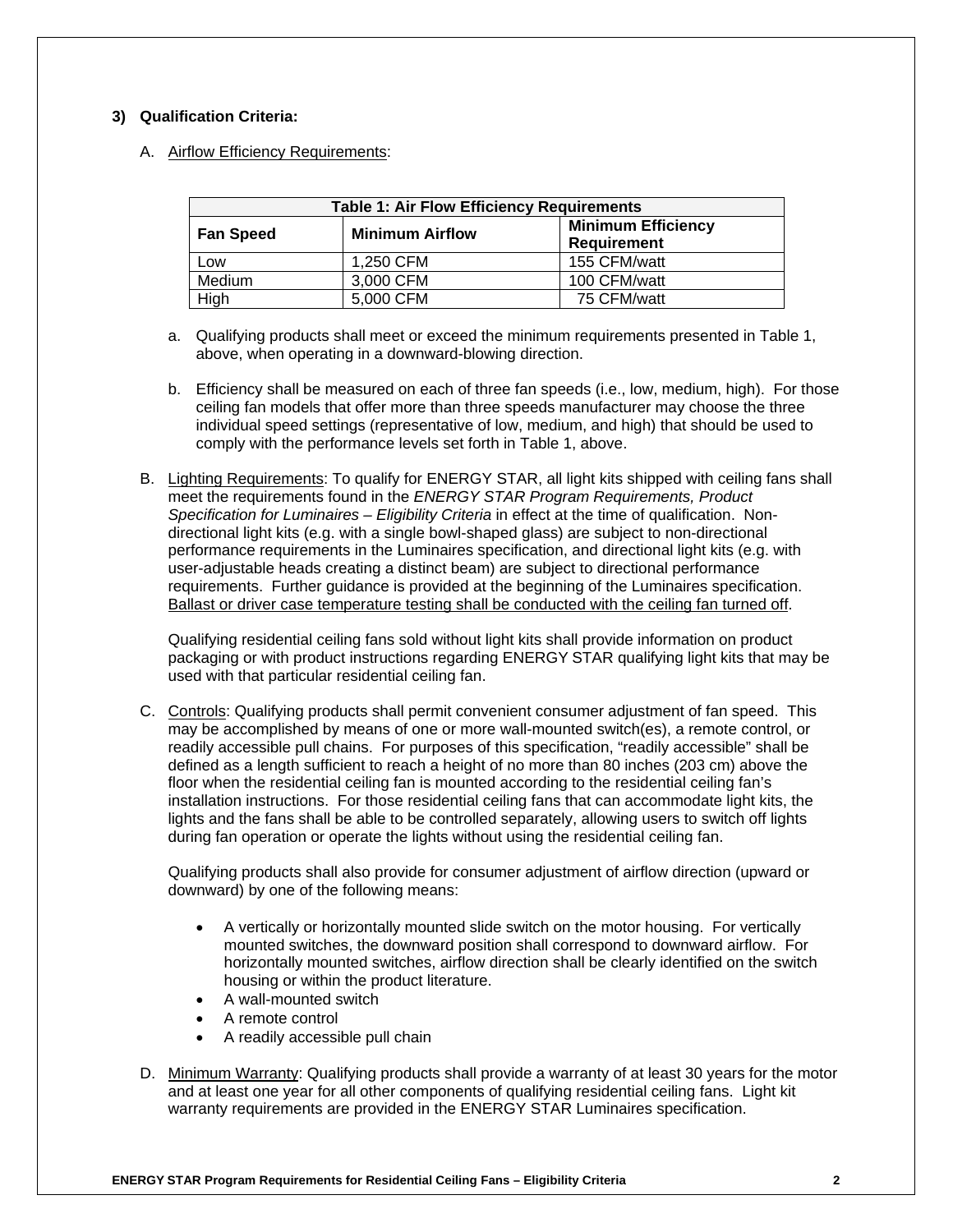#### **3) Qualification Criteria:**

A. Airflow Efficiency Requirements:

| <b>Table 1: Air Flow Efficiency Requirements</b> |                        |                                                 |
|--------------------------------------------------|------------------------|-------------------------------------------------|
| <b>Fan Speed</b>                                 | <b>Minimum Airflow</b> | <b>Minimum Efficiency</b><br><b>Requirement</b> |
| Low                                              | 1,250 CFM              | 155 CFM/watt                                    |
| Medium                                           | 3,000 CFM              | 100 CFM/watt                                    |
| High                                             | 5,000 CFM              | 75 CFM/watt                                     |

- a. Qualifying products shall meet or exceed the minimum requirements presented in Table 1, above, when operating in a downward-blowing direction.
- b. Efficiency shall be measured on each of three fan speeds (i.e., low, medium, high). For those ceiling fan models that offer more than three speeds manufacturer may choose the three individual speed settings (representative of low, medium, and high) that should be used to comply with the performance levels set forth in Table 1, above.
- B. Lighting Requirements: To qualify for ENERGY STAR, all light kits shipped with ceiling fans shall meet the requirements found in the *ENERGY STAR Program Requirements, Product Specification for Luminaires – Eligibility Criteria* in effect at the time of qualification. Nondirectional light kits (e.g. with a single bowl-shaped glass) are subject to non-directional performance requirements in the Luminaires specification, and directional light kits (e.g. with user-adjustable heads creating a distinct beam) are subject to directional performance requirements. Further guidance is provided at the beginning of the Luminaires specification. Ballast or driver case temperature testing shall be conducted with the ceiling fan turned off.

Qualifying residential ceiling fans sold without light kits shall provide information on product packaging or with product instructions regarding ENERGY STAR qualifying light kits that may be used with that particular residential ceiling fan.

C. Controls: Qualifying products shall permit convenient consumer adjustment of fan speed. This may be accomplished by means of one or more wall-mounted switch(es), a remote control, or readily accessible pull chains. For purposes of this specification, "readily accessible" shall be defined as a length sufficient to reach a height of no more than 80 inches (203 cm) above the floor when the residential ceiling fan is mounted according to the residential ceiling fan's installation instructions. For those residential ceiling fans that can accommodate light kits, the lights and the fans shall be able to be controlled separately, allowing users to switch off lights during fan operation or operate the lights without using the residential ceiling fan.

Qualifying products shall also provide for consumer adjustment of airflow direction (upward or downward) by one of the following means:

- A vertically or horizontally mounted slide switch on the motor housing. For vertically mounted switches, the downward position shall correspond to downward airflow. For horizontally mounted switches, airflow direction shall be clearly identified on the switch housing or within the product literature.
- A wall-mounted switch
- A remote control
- A readily accessible pull chain
- D. Minimum Warranty: Qualifying products shall provide a warranty of at least 30 years for the motor and at least one year for all other components of qualifying residential ceiling fans. Light kit warranty requirements are provided in the ENERGY STAR Luminaires specification.